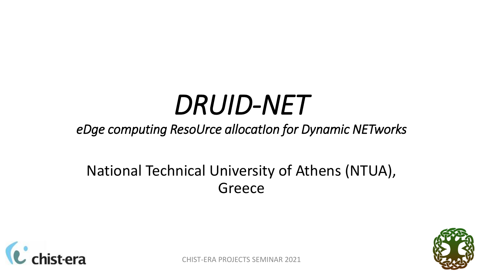# *DRUID-NET*

#### *eDge computing ResoUrce allocatIon for Dynamic NETworks*

#### National Technical University of Athens (NTUA), Greece



CHIST-ERA PROJECTS SEMINAR 2021

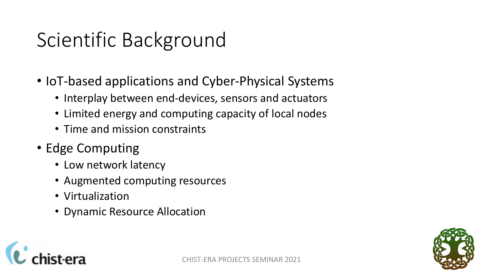## Scientific Background

- IoT-based applications and Cyber-Physical Systems
	- Interplay between end-devices, sensors and actuators
	- Limited energy and computing capacity of local nodes
	- Time and mission constraints
- Edge Computing
	- Low network latency
	- Augmented computing resources
	- Virtualization
	- Dynamic Resource Allocation



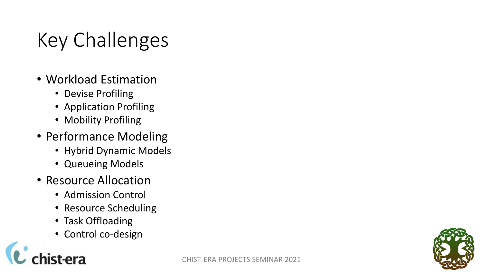## Key Challenges

- Workload Estimation
	- Devise Profiling
	- Application Profiling
	- Mobility Profiling
- Performance Modeling
	- Hybrid Dynamic Models
	- Queueing Models
- Resource Allocation
	- Admission Control
	- Resource Scheduling
	- Task Offloading
	- Control co-design

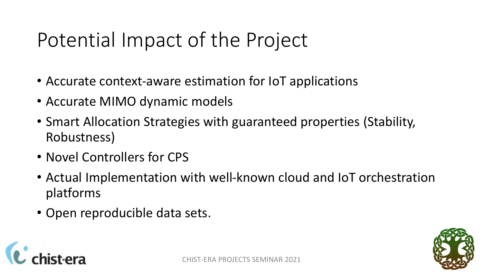### Potential Impact of the Project

- Accurate context-aware estimation for IoT applications
- Accurate MIMO dynamic models
- Smart Allocation Strategies with guaranteed properties (Stability, Robustness)
- Novel Controllers for CPS
- Actual Implementation with well-known cloud and IoT orchestration platforms
- Open reproducible data sets.



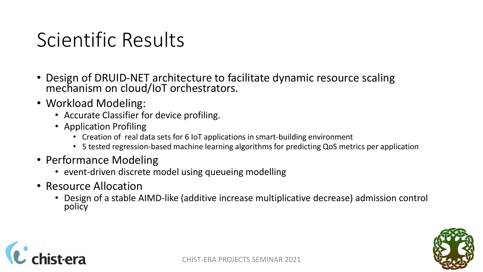#### Scientific Results

- Design of DRUID-NET architecture to facilitate dynamic resource scaling mechanism on cloud/IoT orchestrators.
- Workload Modeling:
	- Accurate Classifier for device profiling.
	- Application Profiling
		- Creation of real data sets for 6 IoT applications in smart-building environment
		- 5 tested regression-based machine learning algorithms for predicting QoS metrics per application
- Performance Modeling
	- event-driven discrete model using queueing modelling
- Resource Allocation
	- Design of a stable AIMD-like (additive increase multiplicative decrease) admission control policy



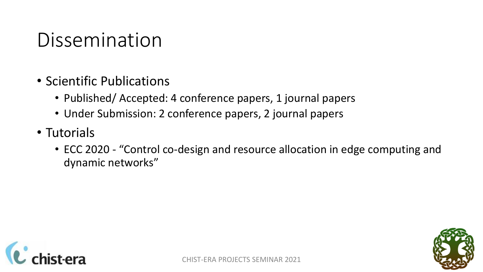#### Dissemination

- Scientific Publications
	- Published/ Accepted: 4 conference papers, 1 journal papers
	- Under Submission: 2 conference papers, 2 journal papers
- Tutorials
	- ECC 2020 "Control co-design and resource allocation in edge computing and dynamic networks"



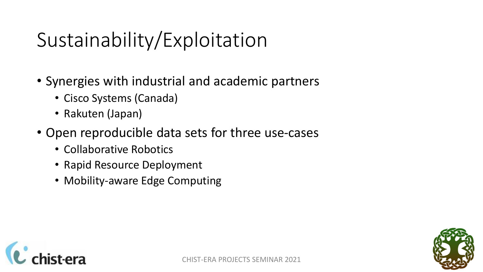## Sustainability/Exploitation

- Synergies with industrial and academic partners
	- Cisco Systems (Canada)
	- Rakuten (Japan)
- Open reproducible data sets for three use-cases
	- Collaborative Robotics
	- Rapid Resource Deployment
	- Mobility-aware Edge Computing



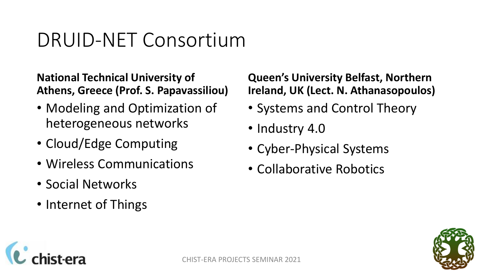#### DRUID-NET Consortium

**National Technical University of Athens, Greece (Prof. S. Papavassiliou)**

- Modeling and Optimization of heterogeneous networks
- Cloud/Edge Computing
- Wireless Communications
- Social Networks
- Internet of Things

#### **Queen's University Belfast, Northern Ireland, UK (Lect. N. Athanasopoulos)**

- Systems and Control Theory
- Industry 4.0
- Cyber-Physical Systems
- Collaborative Robotics



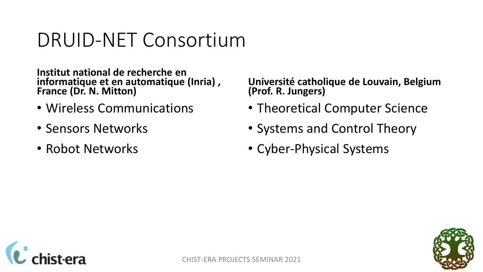#### DRUID-NET Consortium

**Institut national de recherche en informatique et en automatique (Inria) , France (Dr. N. Mitton)**

- Wireless Communications
- Sensors Networks
- Robot Networks

**Université catholique de Louvain, Belgium (Prof. R. Jungers)**

- Theoretical Computer Science
- Systems and Control Theory
- Cyber-Physical Systems



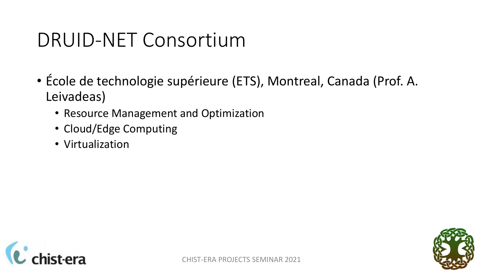#### DRUID-NET Consortium

- École de technologie supérieure (ETS), Montreal, Canada (Prof. A. Leivadeas)
	- Resource Management and Optimization
	- Cloud/Edge Computing
	- Virtualization



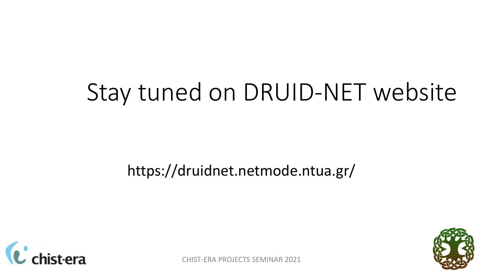# Stay tuned on DRUID-NET website

#### https://druidnet.netmode.ntua.gr/



CHIST-ERA PROJECTS SEMINAR 2021